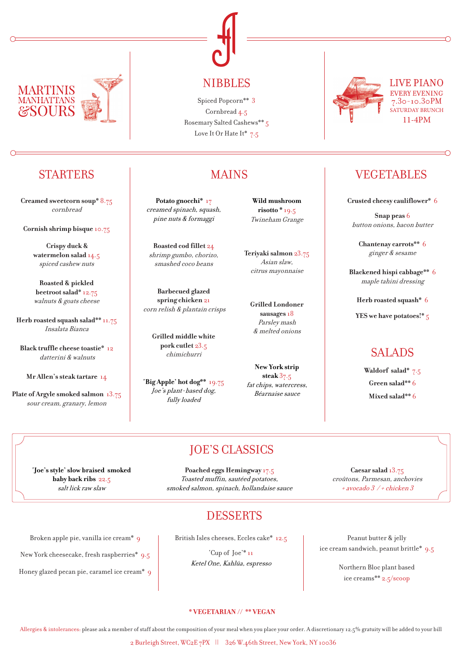



**Creamed sweetcorn soup\*** 8.75 cornbread

**Cornish shrimp bisque** 10.75

**Crispy duck & watermelon salad** 14.5 spiced cashew nuts

**Roasted & pickled beetroot salad\*** 12.75 walnuts & goats cheese

**Herb roasted squash salad\*\*** 11.75 Insalata Bianca

**Black truffle cheese toastie\*** 12 datterini & walnuts

**Mr Allen's steak tartare** 14

**Plate of Argyle smoked salmon** 13.75 sour cream, granary, lemon

NIBBLES

Cornbread 4.5 Rosemary Salted Cashews\*\* 5 Love It Or Hate It\*  $7.5$ 

**Potato gnocchi\*** 17 creamed spinach, squash, pine nuts & formaggi

**Roasted cod fillet** 24 shrimp gumbo, chorizo, smashed coco beans

**Barbecued glazed spring chicken** 21 corn relish & plantain crisps

**Grilled middle white pork cutlet** 23.5 chimichurri

**'Big Apple' hot dog\*\*** 19.75 Joe's plant-based dog, fully loaded

**Wild mushroom risotto \*** 19.5 Twineham Grange

**Teriyaki salmon** 23.75 Asian slaw, citrus mayonnaise

**Grilled Londoner sausages**18 Parsley mash & melted onions

**New York strip steak** 37.5 fat chips, watercress, Béarnaise sauce



LIVE PIANO SATURDAY BRUNCH 11-4PM

# STARTERS I MAINS VEGETABLES

**Crusted cheesy cauliflower\*** 6

**Snap peas** 6 button onions, bacon butter

**Chantenay carrots\*\*** 6 ginger & sesame

**Blackened hispi cabbage\*\*** 6 maple tahini dressing

**Herb roasted squash\*** 6

**YES we have potatoes!\*** 5

# SALADS

**Waldorf salad\*** 7.5 **Green salad\*\*** 6 **Mixed salad\*\*** 6

## JOE'S CLASSICS

**'Joe's style' slow braised smoked baby back ribs** 22.5 salt lick raw slaw

Broken apple pie, vanilla ice cream\* 9

New York cheesecake, fresh raspberries\* 9.5

Honey glazed pecan pie, caramel ice cream\* 9

**Poached eggs Hemingway** 17.5 Toasted muffin, sautéed potatoes, smoked salmon, spinach, hollandaise sauce

**Caesar salad** 13.75 croûtons, Parmesan, anchovies + avocado 3 / + chicken 3

## DESSERTS

British Isles cheeses, Eccles cake\* 12.5

'Cup of Joe'\* 11 Ketel One, Kahlúa, espresso

Peanut butter & jelly ice cream sandwich, peanut brittle\*9.5

> Northern Bloc plant based ice creams\*\* 2.5/scoop

#### **\* VEGETARIAN // \*\* VEGAN**

Allergies & intolerances: please ask a member of staff about the composition of your meal when you place your order. A discretionary 12.5% gratuity will be added to your bill

2 Burleigh Street, WC2E 7PX || 326 W.46th Street, New York, NY 10036